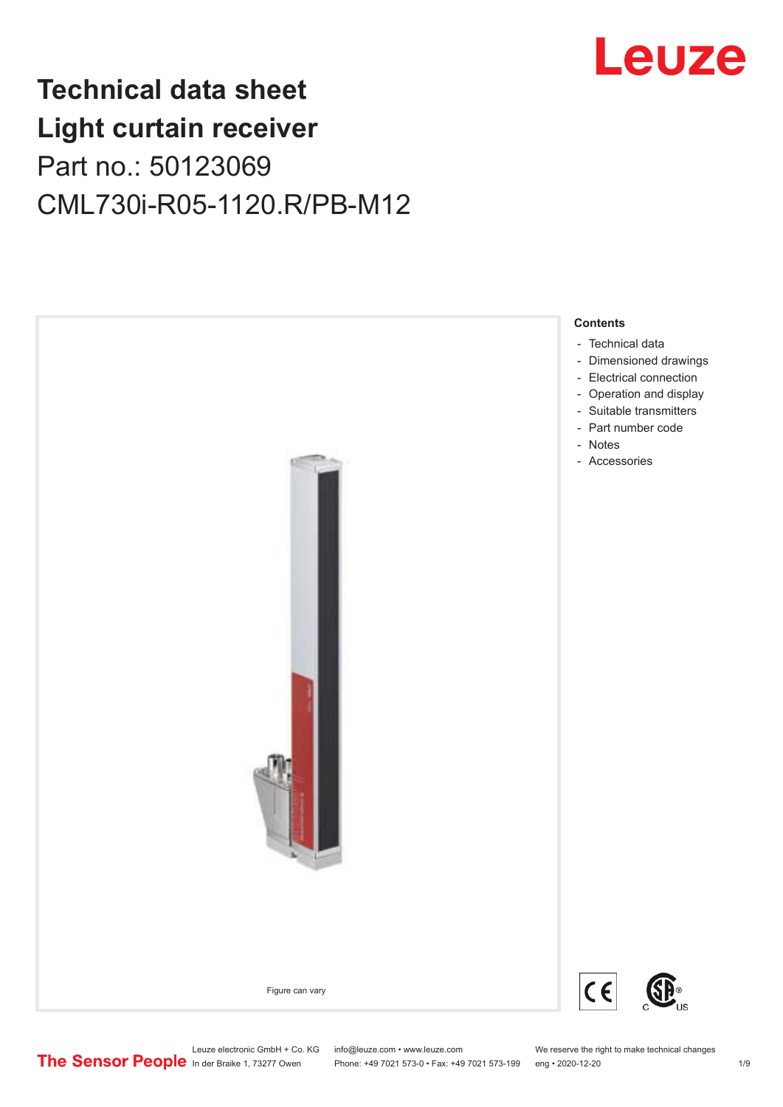# Leuze

# **Technical data sheet Light curtain receiver** Part no.: 50123069 CML730i-R05-1120.R/PB-M12



Leuze electronic GmbH + Co. KG info@leuze.com • www.leuze.com We reserve the right to make technical changes<br>
The Sensor People in der Braike 1, 73277 Owen Phone: +49 7021 573-0 • Fax: +49 7021 573-199 eng • 2020-12-20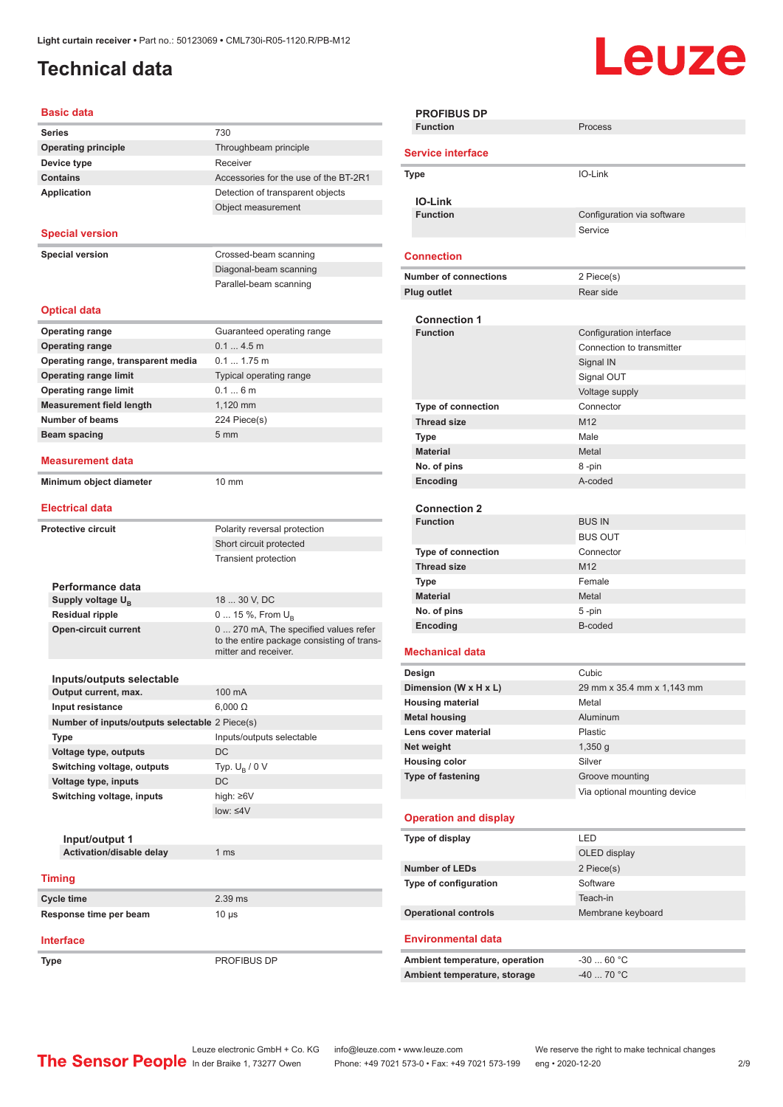## <span id="page-1-0"></span>**Technical data**

# Leuze

| <b>Series</b><br>730<br><b>Operating principle</b>                 |                                            |
|--------------------------------------------------------------------|--------------------------------------------|
|                                                                    |                                            |
|                                                                    | Throughbeam principle                      |
| Receiver<br>Device type                                            |                                            |
| <b>Contains</b>                                                    | Accessories for the use of the BT-2R1      |
| <b>Application</b>                                                 | Detection of transparent objects           |
|                                                                    | Object measurement                         |
|                                                                    |                                            |
| <b>Special version</b>                                             |                                            |
| <b>Special version</b>                                             | Crossed-beam scanning                      |
|                                                                    | Diagonal-beam scanning                     |
|                                                                    | Parallel-beam scanning                     |
|                                                                    |                                            |
| <b>Optical data</b>                                                |                                            |
|                                                                    |                                            |
| <b>Operating range</b><br>0.14.5m                                  | Guaranteed operating range                 |
| <b>Operating range</b><br>$0.1$ 1.75 m                             |                                            |
| Operating range, transparent media<br><b>Operating range limit</b> | Typical operating range                    |
| 0.16m                                                              |                                            |
| <b>Operating range limit</b><br>1,120 mm                           |                                            |
| <b>Measurement field length</b><br>Number of beams                 |                                            |
| 224 Piece(s)<br>5 <sub>mm</sub>                                    |                                            |
| Beam spacing                                                       |                                            |
| Measurement data                                                   |                                            |
|                                                                    |                                            |
| Minimum object diameter<br>$10 \text{ mm}$                         |                                            |
| <b>Electrical data</b>                                             |                                            |
| <b>Protective circuit</b>                                          |                                            |
|                                                                    | Polarity reversal protection               |
|                                                                    | Short circuit protected                    |
|                                                                    | <b>Transient protection</b>                |
| Performance data                                                   |                                            |
| 18  30 V, DC<br>Supply voltage $U_{B}$                             |                                            |
| <b>Residual ripple</b>                                             | 0  15 %, From $U_{\rm B}$                  |
| <b>Open-circuit current</b>                                        | 0  270 mA, The specified values refer      |
|                                                                    | to the entire package consisting of trans- |
|                                                                    | mitter and receiver.                       |
|                                                                    |                                            |
| Inputs/outputs selectable                                          |                                            |
| Output current, max.<br>100 mA                                     |                                            |
| Input resistance<br>$6,000 \Omega$                                 |                                            |
| Number of inputs/outputs selectable 2 Piece(s)                     |                                            |
| Type                                                               | Inputs/outputs selectable                  |
| DC<br>Voltage type, outputs                                        |                                            |
| Switching voltage, outputs<br>Typ. $U_R / 0 V$                     |                                            |
| DC<br>Voltage type, inputs                                         |                                            |
| Switching voltage, inputs<br>high: ≥6V                             |                                            |
| low: $\leq 4V$                                                     |                                            |
|                                                                    |                                            |
| Input/output 1<br>Activation/disable delay<br>1 <sub>ms</sub>      |                                            |
|                                                                    |                                            |
| <b>Timing</b>                                                      |                                            |
| 2.39 ms<br>Cycle time                                              |                                            |
| Response time per beam<br>$10 \mu s$                               |                                            |
|                                                                    |                                            |
|                                                                    |                                            |
| <b>Interface</b>                                                   |                                            |

| <b>PROFIBUS DP</b>             |                              |
|--------------------------------|------------------------------|
| <b>Function</b>                | Process                      |
|                                |                              |
| <b>Service interface</b>       |                              |
| <b>Type</b>                    | IO-Link                      |
|                                |                              |
| <b>IO-Link</b>                 |                              |
| <b>Function</b>                | Configuration via software   |
|                                | Service                      |
|                                |                              |
| <b>Connection</b>              |                              |
| <b>Number of connections</b>   | 2 Piece(s)                   |
|                                |                              |
| <b>Plug outlet</b>             | Rear side                    |
| <b>Connection 1</b>            |                              |
| <b>Function</b>                | Configuration interface      |
|                                | Connection to transmitter    |
|                                |                              |
|                                | Signal IN                    |
|                                | Signal OUT                   |
|                                | Voltage supply               |
| <b>Type of connection</b>      | Connector                    |
| <b>Thread size</b>             | M <sub>12</sub>              |
| <b>Type</b>                    | Male                         |
| <b>Material</b>                | Metal                        |
| No. of pins                    | 8-pin                        |
| Encoding                       | A-coded                      |
|                                |                              |
| <b>Connection 2</b>            |                              |
| <b>Function</b>                | <b>BUS IN</b>                |
|                                | <b>BUS OUT</b>               |
| <b>Type of connection</b>      | Connector                    |
| <b>Thread size</b>             | M <sub>12</sub>              |
| Type                           | Female                       |
| <b>Material</b>                | Metal                        |
|                                |                              |
| No. of pins                    | 5-pin<br>B-coded             |
| Encoding                       |                              |
| <b>Mechanical data</b>         |                              |
|                                |                              |
| Design                         | Cubic                        |
| Dimension (W x H x L)          | 29 mm x 35.4 mm x 1,143 mm   |
| <b>Housing material</b>        | Metal                        |
| <b>Metal housing</b>           | Aluminum                     |
| Lens cover material            | Plastic                      |
| Net weight                     | $1,350$ g                    |
| <b>Housing color</b>           | Silver                       |
| Type of fastening              | Groove mounting              |
|                                | Via optional mounting device |
|                                |                              |
| <b>Operation and display</b>   |                              |
| Type of display                | LED                          |
|                                |                              |
|                                | OLED display                 |
| <b>Number of LEDs</b>          | 2 Piece(s)                   |
| Type of configuration          | Software                     |
|                                | Teach-in                     |
| <b>Operational controls</b>    | Membrane keyboard            |
|                                |                              |
| <b>Environmental data</b>      |                              |
| Ambient temperature, operation | $-3060 °C$                   |
| Ambient temperature, storage   | $-40$ 70 °C                  |
|                                |                              |
|                                |                              |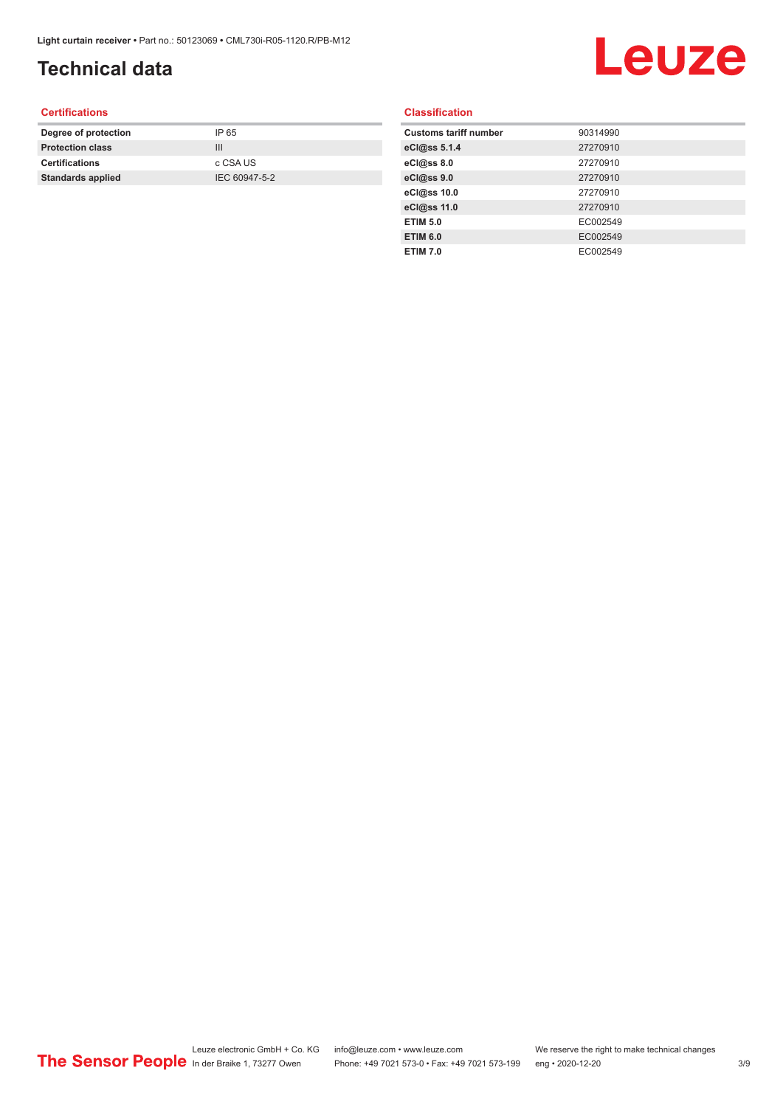## **Technical data**

# Leuze

#### **Certifications**

| Degree of protection     | IP 65         |
|--------------------------|---------------|
| <b>Protection class</b>  | Ш             |
| <b>Certifications</b>    | c CSA US      |
| <b>Standards applied</b> | IEC 60947-5-2 |
|                          |               |

#### **Classification**

| <b>Customs tariff number</b> | 90314990 |
|------------------------------|----------|
| eCl@ss 5.1.4                 | 27270910 |
| eCl@ss 8.0                   | 27270910 |
| eCl@ss 9.0                   | 27270910 |
| eCl@ss 10.0                  | 27270910 |
| eCl@ss 11.0                  | 27270910 |
| <b>ETIM 5.0</b>              | EC002549 |
| <b>ETIM 6.0</b>              | EC002549 |
| <b>ETIM 7.0</b>              | EC002549 |
|                              |          |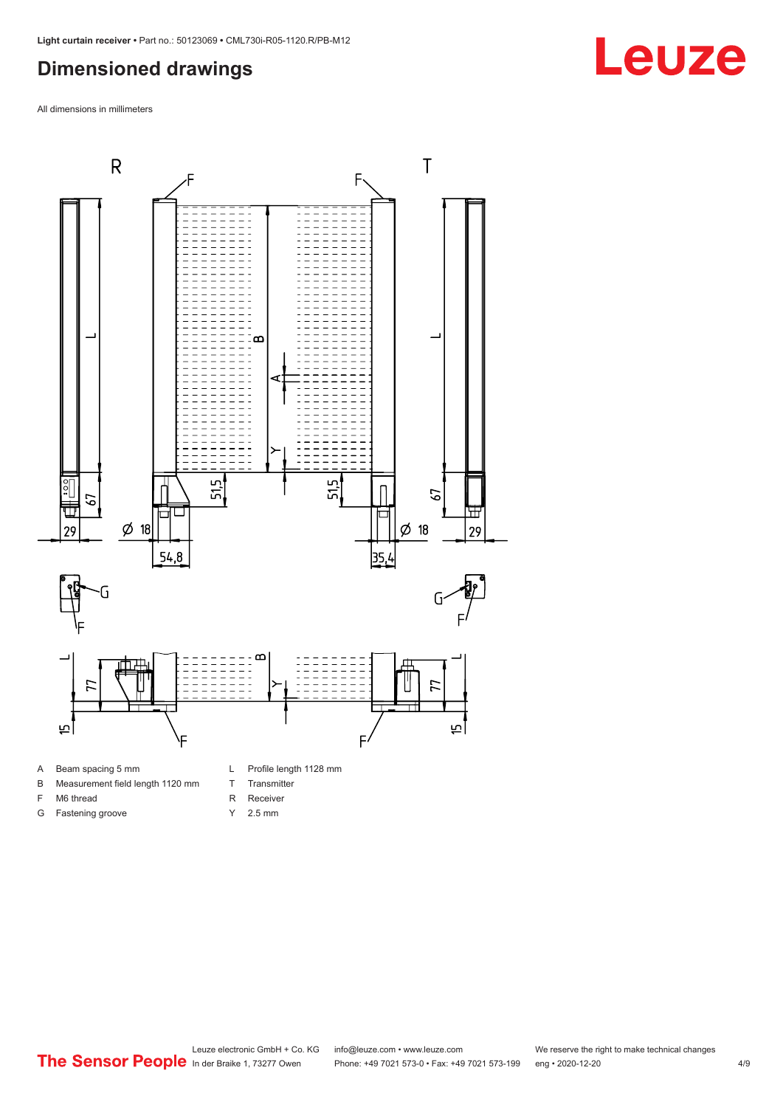#### <span id="page-3-0"></span>**Dimensioned drawings**

All dimensions in millimeters



- B Measurement field length 1120 mm
- F M6 thread
- G Fastening groove
- 
- T Transmitter
- R Receiver
- Y 2.5 mm



**Leuze**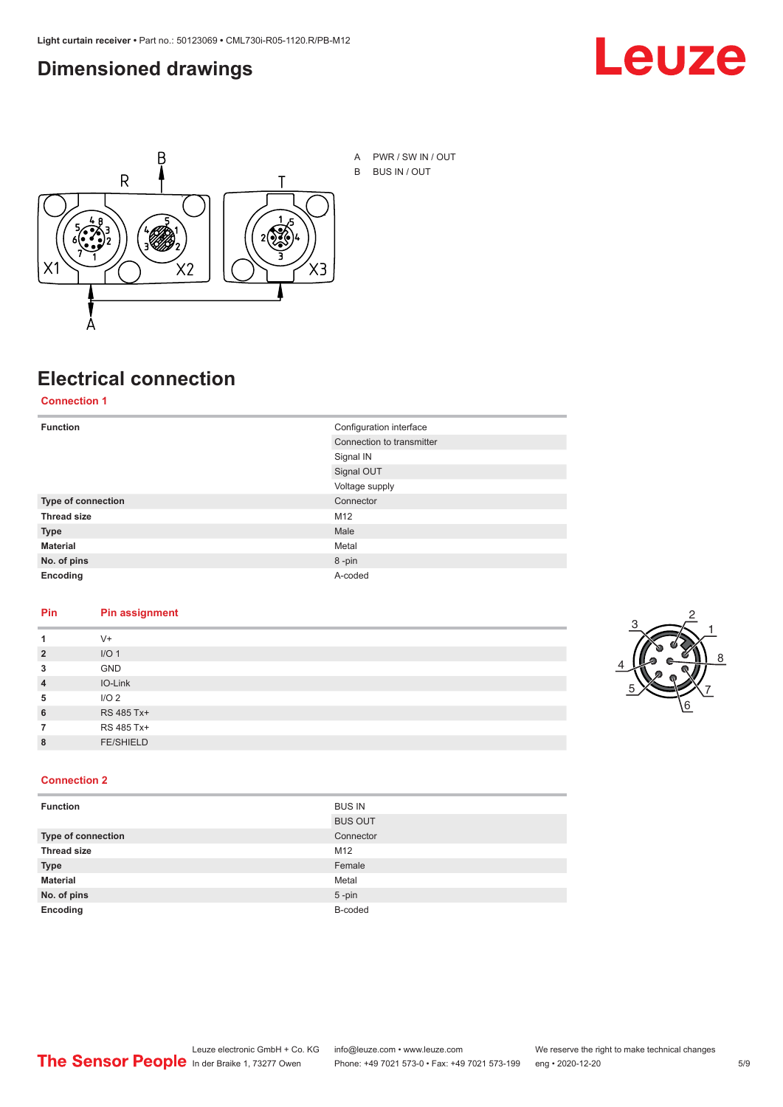#### <span id="page-4-0"></span>**Dimensioned drawings**





# **Electrical connection**

**Connection 1**

| <b>Function</b>           | Configuration interface   |
|---------------------------|---------------------------|
|                           | Connection to transmitter |
|                           | Signal IN                 |
|                           | Signal OUT                |
|                           | Voltage supply            |
| <b>Type of connection</b> | Connector                 |
| <b>Thread size</b>        | M12                       |
| <b>Type</b>               | Male                      |
| <b>Material</b>           | Metal                     |
| No. of pins               | 8-pin                     |
| Encoding                  | A-coded                   |

#### **Pin Pin assignment**

| 1              | $V +$            |  |  |
|----------------|------------------|--|--|
| $\overline{2}$ | I/O <sub>1</sub> |  |  |
| 3              | <b>GND</b>       |  |  |
| $\overline{4}$ | IO-Link          |  |  |
| 5              | I/O <sub>2</sub> |  |  |
| 6              | RS 485 Tx+       |  |  |
| 7              | RS 485 Tx+       |  |  |
| 8              | <b>FE/SHIELD</b> |  |  |
|                |                  |  |  |



#### **Connection 2**

| <b>Function</b>    | <b>BUS IN</b>  |
|--------------------|----------------|
|                    | <b>BUS OUT</b> |
| Type of connection | Connector      |
| <b>Thread size</b> | M12            |
| <b>Type</b>        | Female         |
| <b>Material</b>    | Metal          |
| No. of pins        | $5$ -pin       |
| Encoding           | B-coded        |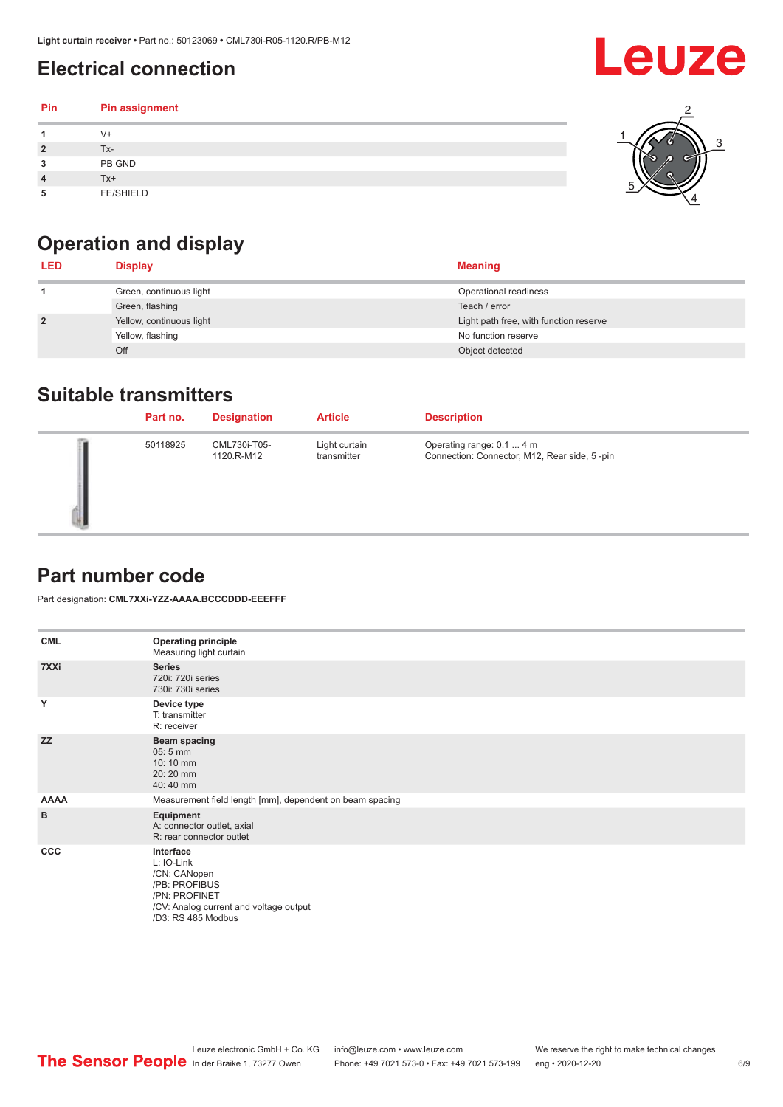### <span id="page-5-0"></span>**Electrical connection**

#### **Pin Pin assignment 1** V+ **2** Tx-**3** PB GND **4** Tx+ **5** FE/SHIELD 3 2 1 5 4

## **Operation and display**

| <b>LED</b>     | <b>Display</b>           | <b>Meaning</b>                         |
|----------------|--------------------------|----------------------------------------|
|                | Green, continuous light  | Operational readiness                  |
|                | Green, flashing          | Teach / error                          |
| $\overline{2}$ | Yellow, continuous light | Light path free, with function reserve |
|                | Yellow, flashing         | No function reserve                    |
|                | Off                      | Object detected                        |

#### **Suitable transmitters**

| Part no. | <b>Designation</b>         | <b>Article</b>               | <b>Description</b>                                                        |
|----------|----------------------------|------------------------------|---------------------------------------------------------------------------|
| 50118925 | CML730i-T05-<br>1120.R-M12 | Light curtain<br>transmitter | Operating range: 0.1  4 m<br>Connection: Connector, M12, Rear side, 5-pin |

### **Part number code**

Part designation: **CML7XXi-YZZ-AAAA.BCCCDDD-EEEFFF**

| <b>CML</b>  | <b>Operating principle</b><br>Measuring light curtain                                                                                     |
|-------------|-------------------------------------------------------------------------------------------------------------------------------------------|
| 7XXi        | <b>Series</b><br>720i: 720i series<br>730i: 730i series                                                                                   |
| Y           | Device type<br>T: transmitter<br>R: receiver                                                                                              |
| <b>ZZ</b>   | <b>Beam spacing</b><br>$05:5$ mm<br>10:10 mm<br>20:20 mm<br>40:40 mm                                                                      |
| <b>AAAA</b> | Measurement field length [mm], dependent on beam spacing                                                                                  |
| B           | Equipment<br>A: connector outlet, axial<br>R: rear connector outlet                                                                       |
| CCC         | Interface<br>L: IO-Link<br>/CN: CANopen<br>/PB: PROFIBUS<br>/PN: PROFINET<br>/CV: Analog current and voltage output<br>/D3: RS 485 Modbus |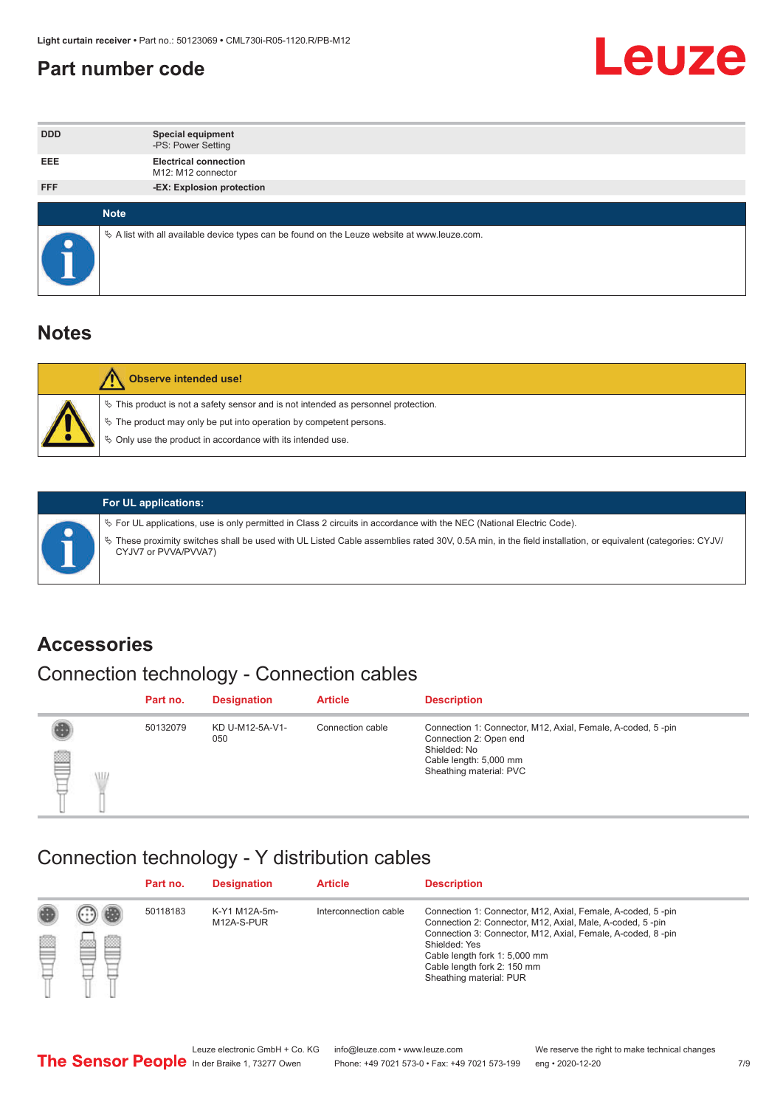#### <span id="page-6-0"></span>**Part number code**



| <b>DDD</b> | <b>Special equipment</b><br>-PS: Power Setting                                                    |
|------------|---------------------------------------------------------------------------------------------------|
| <b>EEE</b> | <b>Electrical connection</b><br>M12: M12 connector                                                |
| <b>FFF</b> | -EX: Explosion protection                                                                         |
|            | <b>Note</b>                                                                                       |
| $\bullet$  | Vector A list with all available device types can be found on the Leuze website at www.leuze.com. |

#### **Notes**

| Observe intended use!                                                                                                                                                                                                      |
|----------------------------------------------------------------------------------------------------------------------------------------------------------------------------------------------------------------------------|
| $\%$ This product is not a safety sensor and is not intended as personnel protection.<br>₹ The product may only be put into operation by competent persons.<br>♦ Only use the product in accordance with its intended use. |



#### **For UL applications:**

ª For UL applications, use is only permitted in Class 2 circuits in accordance with the NEC (National Electric Code). ª These proximity switches shall be used with UL Listed Cable assemblies rated 30V, 0.5A min, in the field installation, or equivalent (categories: CYJV/ CYJV7 or PVVA/PVVA7)

#### **Accessories**

### Connection technology - Connection cables

|        | Part no. | <b>Designation</b>     | <b>Article</b>   | <b>Description</b>                                                                                                                                         |
|--------|----------|------------------------|------------------|------------------------------------------------------------------------------------------------------------------------------------------------------------|
| 2<br>W | 50132079 | KD U-M12-5A-V1-<br>050 | Connection cable | Connection 1: Connector, M12, Axial, Female, A-coded, 5-pin<br>Connection 2: Open end<br>Shielded: No<br>Cable length: 5,000 mm<br>Sheathing material: PVC |

#### Connection technology - Y distribution cables

|   |   | Part no. | <b>Designation</b>          | <b>Article</b>        | <b>Description</b>                                                                                                                                                                                                                                                                                  |
|---|---|----------|-----------------------------|-----------------------|-----------------------------------------------------------------------------------------------------------------------------------------------------------------------------------------------------------------------------------------------------------------------------------------------------|
| Ø | ø | 50118183 | K-Y1 M12A-5m-<br>M12A-S-PUR | Interconnection cable | Connection 1: Connector, M12, Axial, Female, A-coded, 5-pin<br>Connection 2: Connector, M12, Axial, Male, A-coded, 5-pin<br>Connection 3: Connector, M12, Axial, Female, A-coded, 8-pin<br>Shielded: Yes<br>Cable length fork 1: 5,000 mm<br>Cable length fork 2: 150 mm<br>Sheathing material: PUR |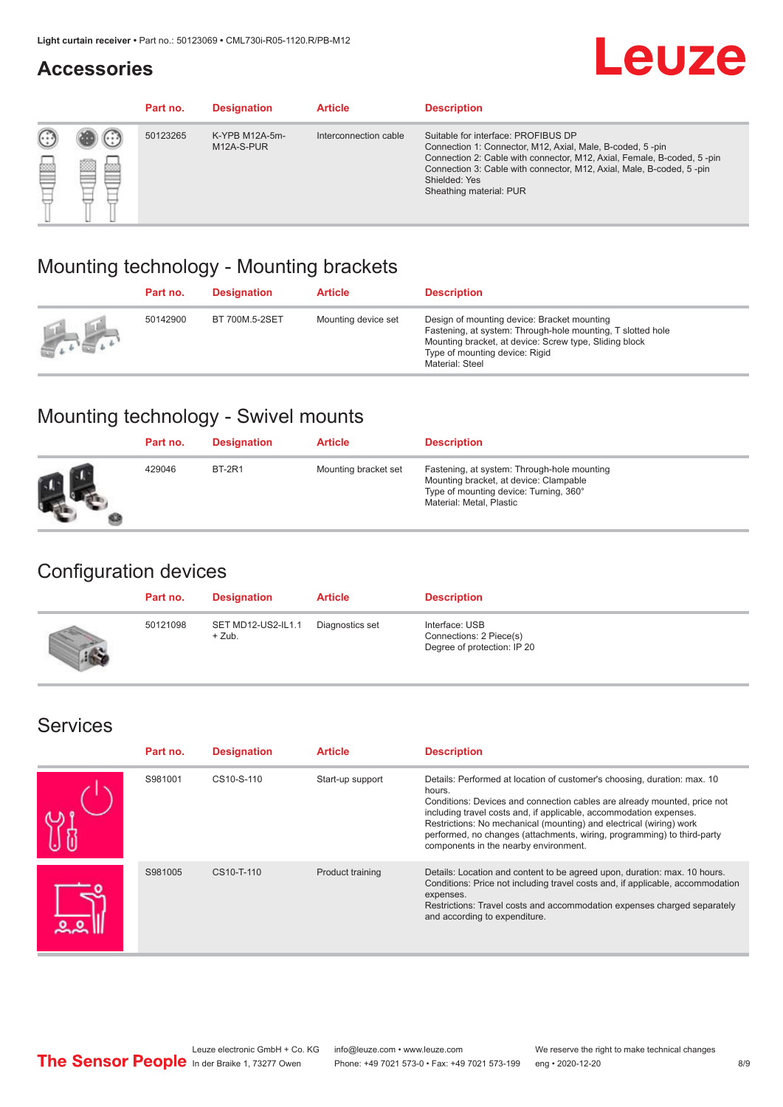#### **Accessories**

# **Leuze**

|   |        | Part no. | <b>Designation</b>           | <b>Article</b>        | <b>Description</b>                                                                                                                                                                                                                                                                             |
|---|--------|----------|------------------------------|-----------------------|------------------------------------------------------------------------------------------------------------------------------------------------------------------------------------------------------------------------------------------------------------------------------------------------|
| 您 | ×<br>一 | 50123265 | K-YPB M12A-5m-<br>M12A-S-PUR | Interconnection cable | Suitable for interface: PROFIBUS DP<br>Connection 1: Connector, M12, Axial, Male, B-coded, 5-pin<br>Connection 2: Cable with connector, M12, Axial, Female, B-coded, 5-pin<br>Connection 3: Cable with connector, M12, Axial, Male, B-coded, 5-pin<br>Shielded: Yes<br>Sheathing material: PUR |

### Mounting technology - Mounting brackets

|               | Part no. | <b>Designation</b> | <b>Article</b>      | <b>Description</b>                                                                                                                                                                                                        |
|---------------|----------|--------------------|---------------------|---------------------------------------------------------------------------------------------------------------------------------------------------------------------------------------------------------------------------|
| $\frac{1}{2}$ | 50142900 | BT 700M.5-2SET     | Mounting device set | Design of mounting device: Bracket mounting<br>Fastening, at system: Through-hole mounting, T slotted hole<br>Mounting bracket, at device: Screw type, Sliding block<br>Type of mounting device: Rigid<br>Material: Steel |

### Mounting technology - Swivel mounts

| Part no. | <b>Designation</b> | <b>Article</b>       | <b>Description</b>                                                                                                                                          |
|----------|--------------------|----------------------|-------------------------------------------------------------------------------------------------------------------------------------------------------------|
| 429046   | <b>BT-2R1</b>      | Mounting bracket set | Fastening, at system: Through-hole mounting<br>Mounting bracket, at device: Clampable<br>Type of mounting device: Turning, 360°<br>Material: Metal, Plastic |

### Configuration devices

| Part no. | <b>Designation</b>             | <b>Article</b>  | <b>Description</b>                                                       |
|----------|--------------------------------|-----------------|--------------------------------------------------------------------------|
| 50121098 | SET MD12-US2-IL1.1<br>$+$ Zub. | Diagnostics set | Interface: USB<br>Connections: 2 Piece(s)<br>Degree of protection: IP 20 |

#### Services

| Part no. | <b>Designation</b> | <b>Article</b>   | <b>Description</b>                                                                                                                                                                                                                                                                                                                                                                                                              |
|----------|--------------------|------------------|---------------------------------------------------------------------------------------------------------------------------------------------------------------------------------------------------------------------------------------------------------------------------------------------------------------------------------------------------------------------------------------------------------------------------------|
| S981001  | CS10-S-110         | Start-up support | Details: Performed at location of customer's choosing, duration: max. 10<br>hours.<br>Conditions: Devices and connection cables are already mounted, price not<br>including travel costs and, if applicable, accommodation expenses.<br>Restrictions: No mechanical (mounting) and electrical (wiring) work<br>performed, no changes (attachments, wiring, programming) to third-party<br>components in the nearby environment. |
| S981005  | CS10-T-110         | Product training | Details: Location and content to be agreed upon, duration: max. 10 hours.<br>Conditions: Price not including travel costs and, if applicable, accommodation<br>expenses.<br>Restrictions: Travel costs and accommodation expenses charged separately<br>and according to expenditure.                                                                                                                                           |